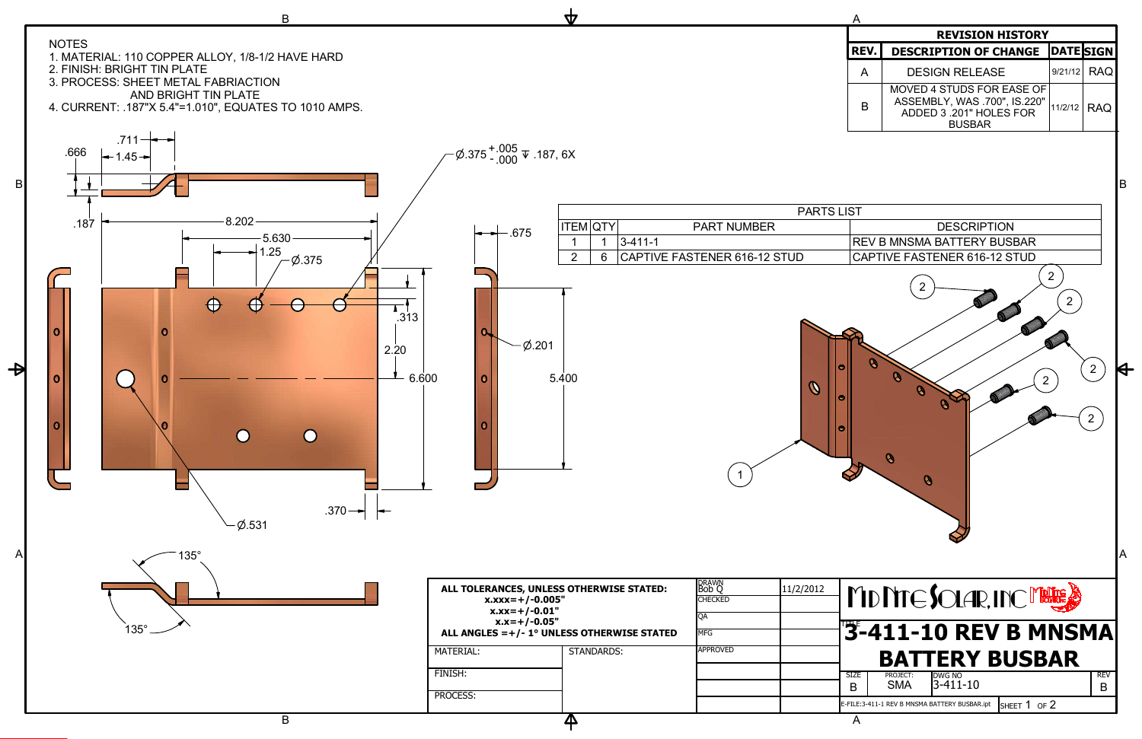| <b>REVISION HISTORY</b> |                                                                                                       |           |            |
|-------------------------|-------------------------------------------------------------------------------------------------------|-----------|------------|
| REV.                    | <b>DESCRIPTION OF CHANGE</b>                                                                          | DATE SIGN |            |
| А                       | <b>DESIGN RELEASE</b>                                                                                 | 9/21/12   | <b>RAQ</b> |
| R                       | MOVED 4 STUDS FOR EASE OF<br>ASSEMBLY, WAS .700", IS.220"<br>ADDED 3 .201" HOLES FOR<br><b>BUSBAR</b> | 11/2/12   | <b>RAQ</b> |

B



 $\Delta$